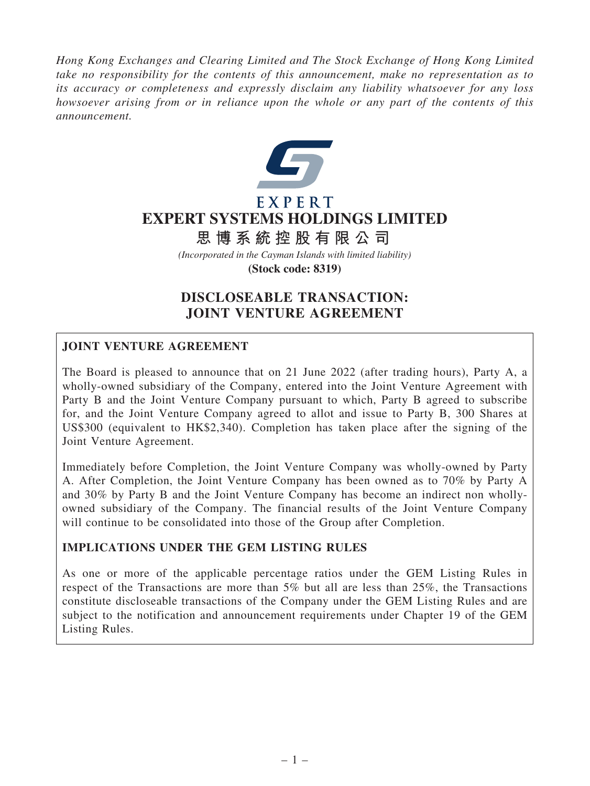*Hong Kong Exchanges and Clearing Limited and The Stock Exchange of Hong Kong Limited take no responsibility for the contents of this announcement, make no representation as to its accuracy or completeness and expressly disclaim any liability whatsoever for any loss howsoever arising from or in reliance upon the whole or any part of the contents of this announcement.*



## EXPERT **EXPERT SYSTEMS HOLDINGS LIMITED**

# **思 博 系 統 控 股 有 限 公 司**

*(Incorporated in the Cayman Islands with limited liability)* **(Stock code: 8319)**

## DISCLOSEABLE TRANSACTION: JOINT VENTURE AGREEMENT

## JOINT VENTURE AGREEMENT

The Board is pleased to announce that on 21 June 2022 (after trading hours), Party A, a wholly-owned subsidiary of the Company, entered into the Joint Venture Agreement with Party B and the Joint Venture Company pursuant to which, Party B agreed to subscribe for, and the Joint Venture Company agreed to allot and issue to Party B, 300 Shares at US\$300 (equivalent to HK\$2,340). Completion has taken place after the signing of the Joint Venture Agreement.

Immediately before Completion, the Joint Venture Company was wholly-owned by Party A. After Completion, the Joint Venture Company has been owned as to 70% by Party A and 30% by Party B and the Joint Venture Company has become an indirect non whollyowned subsidiary of the Company. The financial results of the Joint Venture Company will continue to be consolidated into those of the Group after Completion.

## IMPLICATIONS UNDER THE GEM LISTING RULES

As one or more of the applicable percentage ratios under the GEM Listing Rules in respect of the Transactions are more than 5% but all are less than 25%, the Transactions constitute discloseable transactions of the Company under the GEM Listing Rules and are subject to the notification and announcement requirements under Chapter 19 of the GEM Listing Rules.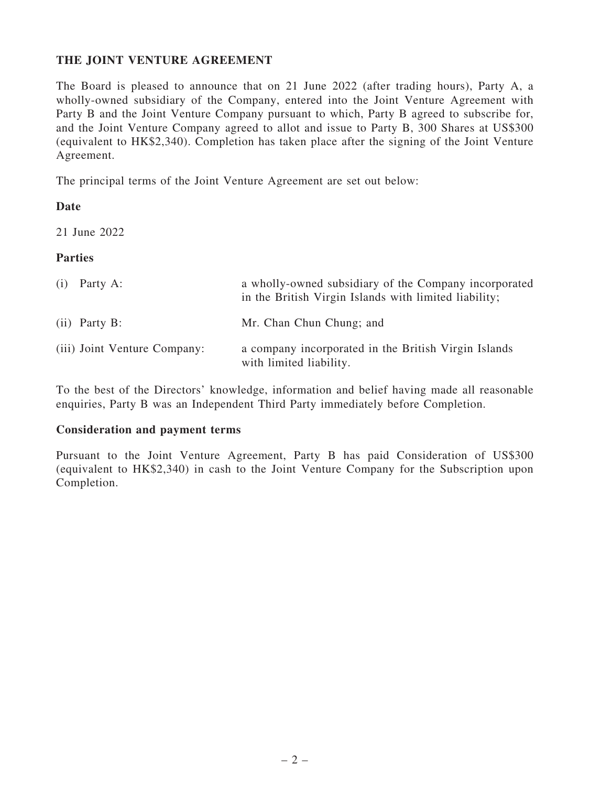## THE JOINT VENTURE AGREEMENT

The Board is pleased to announce that on 21 June 2022 (after trading hours), Party A, a wholly-owned subsidiary of the Company, entered into the Joint Venture Agreement with Party B and the Joint Venture Company pursuant to which, Party B agreed to subscribe for, and the Joint Venture Company agreed to allot and issue to Party B, 300 Shares at US\$300 (equivalent to HK\$2,340). Completion has taken place after the signing of the Joint Venture Agreement.

The principal terms of the Joint Venture Agreement are set out below:

## Date

21 June 2022

## Parties

| $(i)$ Party A:               | a wholly-owned subsidiary of the Company incorporated<br>in the British Virgin Islands with limited liability; |
|------------------------------|----------------------------------------------------------------------------------------------------------------|
| $(ii)$ Party B:              | Mr. Chan Chun Chung; and                                                                                       |
| (iii) Joint Venture Company: | a company incorporated in the British Virgin Islands<br>with limited liability.                                |

To the best of the Directors' knowledge, information and belief having made all reasonable enquiries, Party B was an Independent Third Party immediately before Completion.

#### Consideration and payment terms

Pursuant to the Joint Venture Agreement, Party B has paid Consideration of US\$300 (equivalent to HK\$2,340) in cash to the Joint Venture Company for the Subscription upon Completion.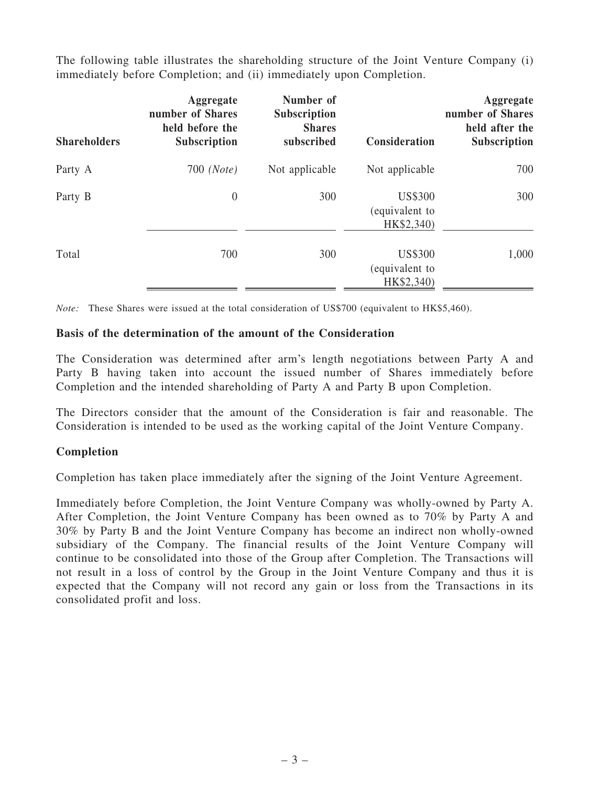The following table illustrates the shareholding structure of the Joint Venture Company (i) immediately before Completion; and (ii) immediately upon Completion.

| <b>Shareholders</b> | Aggregate<br>number of Shares<br>held before the<br>Subscription | Number of<br>Subscription<br><b>Shares</b><br>subscribed | Consideration                                  | Aggregate<br>number of Shares<br>held after the<br><b>Subscription</b> |
|---------------------|------------------------------------------------------------------|----------------------------------------------------------|------------------------------------------------|------------------------------------------------------------------------|
| Party A             | $700$ (Note)                                                     | Not applicable                                           | Not applicable                                 | 700                                                                    |
| Party B             | $\theta$                                                         | 300                                                      | <b>US\$300</b><br>(equivalent to<br>HK\$2,340) | 300                                                                    |
| Total               | 700                                                              | 300                                                      | <b>US\$300</b><br>(equivalent to<br>HK\$2,340) | 1,000                                                                  |

*Note:* These Shares were issued at the total consideration of US\$700 (equivalent to HK\$5,460).

#### Basis of the determination of the amount of the Consideration

The Consideration was determined after arm's length negotiations between Party A and Party B having taken into account the issued number of Shares immediately before Completion and the intended shareholding of Party A and Party B upon Completion.

The Directors consider that the amount of the Consideration is fair and reasonable. The Consideration is intended to be used as the working capital of the Joint Venture Company.

## Completion

Completion has taken place immediately after the signing of the Joint Venture Agreement.

Immediately before Completion, the Joint Venture Company was wholly-owned by Party A. After Completion, the Joint Venture Company has been owned as to 70% by Party A and 30% by Party B and the Joint Venture Company has become an indirect non wholly-owned subsidiary of the Company. The financial results of the Joint Venture Company will continue to be consolidated into those of the Group after Completion. The Transactions will not result in a loss of control by the Group in the Joint Venture Company and thus it is expected that the Company will not record any gain or loss from the Transactions in its consolidated profit and loss.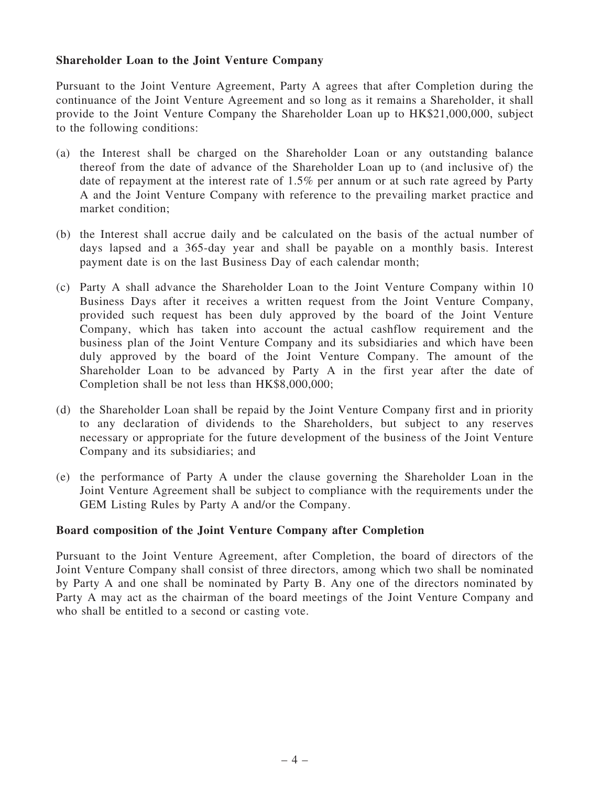#### Shareholder Loan to the Joint Venture Company

Pursuant to the Joint Venture Agreement, Party A agrees that after Completion during the continuance of the Joint Venture Agreement and so long as it remains a Shareholder, it shall provide to the Joint Venture Company the Shareholder Loan up to HK\$21,000,000, subject to the following conditions:

- (a) the Interest shall be charged on the Shareholder Loan or any outstanding balance thereof from the date of advance of the Shareholder Loan up to (and inclusive of) the date of repayment at the interest rate of 1.5% per annum or at such rate agreed by Party A and the Joint Venture Company with reference to the prevailing market practice and market condition;
- (b) the Interest shall accrue daily and be calculated on the basis of the actual number of days lapsed and a 365-day year and shall be payable on a monthly basis. Interest payment date is on the last Business Day of each calendar month;
- (c) Party A shall advance the Shareholder Loan to the Joint Venture Company within 10 Business Days after it receives a written request from the Joint Venture Company, provided such request has been duly approved by the board of the Joint Venture Company, which has taken into account the actual cashflow requirement and the business plan of the Joint Venture Company and its subsidiaries and which have been duly approved by the board of the Joint Venture Company. The amount of the Shareholder Loan to be advanced by Party A in the first year after the date of Completion shall be not less than HK\$8,000,000;
- (d) the Shareholder Loan shall be repaid by the Joint Venture Company first and in priority to any declaration of dividends to the Shareholders, but subject to any reserves necessary or appropriate for the future development of the business of the Joint Venture Company and its subsidiaries; and
- (e) the performance of Party A under the clause governing the Shareholder Loan in the Joint Venture Agreement shall be subject to compliance with the requirements under the GEM Listing Rules by Party A and/or the Company.

#### Board composition of the Joint Venture Company after Completion

Pursuant to the Joint Venture Agreement, after Completion, the board of directors of the Joint Venture Company shall consist of three directors, among which two shall be nominated by Party A and one shall be nominated by Party B. Any one of the directors nominated by Party A may act as the chairman of the board meetings of the Joint Venture Company and who shall be entitled to a second or casting vote.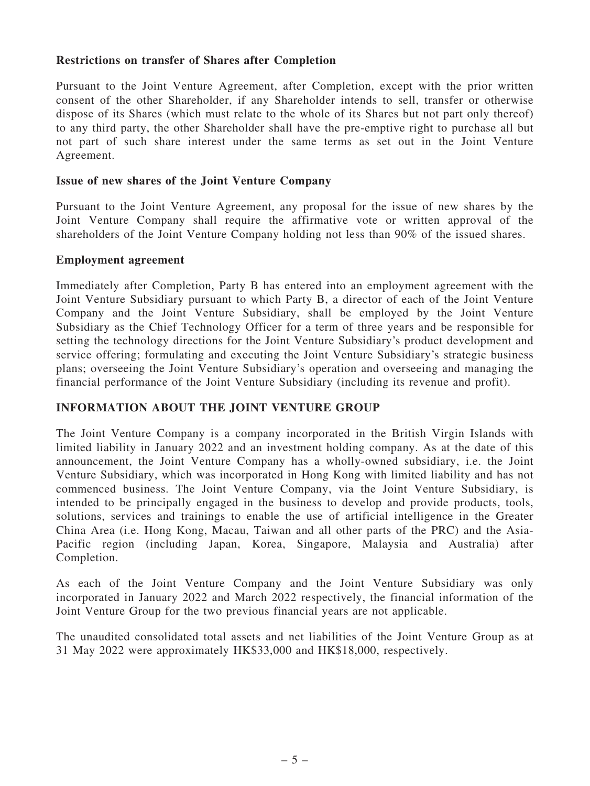#### Restrictions on transfer of Shares after Completion

Pursuant to the Joint Venture Agreement, after Completion, except with the prior written consent of the other Shareholder, if any Shareholder intends to sell, transfer or otherwise dispose of its Shares (which must relate to the whole of its Shares but not part only thereof) to any third party, the other Shareholder shall have the pre-emptive right to purchase all but not part of such share interest under the same terms as set out in the Joint Venture Agreement.

#### Issue of new shares of the Joint Venture Company

Pursuant to the Joint Venture Agreement, any proposal for the issue of new shares by the Joint Venture Company shall require the affirmative vote or written approval of the shareholders of the Joint Venture Company holding not less than 90% of the issued shares.

#### Employment agreement

Immediately after Completion, Party B has entered into an employment agreement with the Joint Venture Subsidiary pursuant to which Party B, a director of each of the Joint Venture Company and the Joint Venture Subsidiary, shall be employed by the Joint Venture Subsidiary as the Chief Technology Officer for a term of three years and be responsible for setting the technology directions for the Joint Venture Subsidiary's product development and service offering; formulating and executing the Joint Venture Subsidiary's strategic business plans; overseeing the Joint Venture Subsidiary's operation and overseeing and managing the financial performance of the Joint Venture Subsidiary (including its revenue and profit).

## INFORMATION ABOUT THE JOINT VENTURE GROUP

The Joint Venture Company is a company incorporated in the British Virgin Islands with limited liability in January 2022 and an investment holding company. As at the date of this announcement, the Joint Venture Company has a wholly-owned subsidiary, i.e. the Joint Venture Subsidiary, which was incorporated in Hong Kong with limited liability and has not commenced business. The Joint Venture Company, via the Joint Venture Subsidiary, is intended to be principally engaged in the business to develop and provide products, tools, solutions, services and trainings to enable the use of artificial intelligence in the Greater China Area (i.e. Hong Kong, Macau, Taiwan and all other parts of the PRC) and the Asia-Pacific region (including Japan, Korea, Singapore, Malaysia and Australia) after Completion.

As each of the Joint Venture Company and the Joint Venture Subsidiary was only incorporated in January 2022 and March 2022 respectively, the financial information of the Joint Venture Group for the two previous financial years are not applicable.

The unaudited consolidated total assets and net liabilities of the Joint Venture Group as at 31 May 2022 were approximately HK\$33,000 and HK\$18,000, respectively.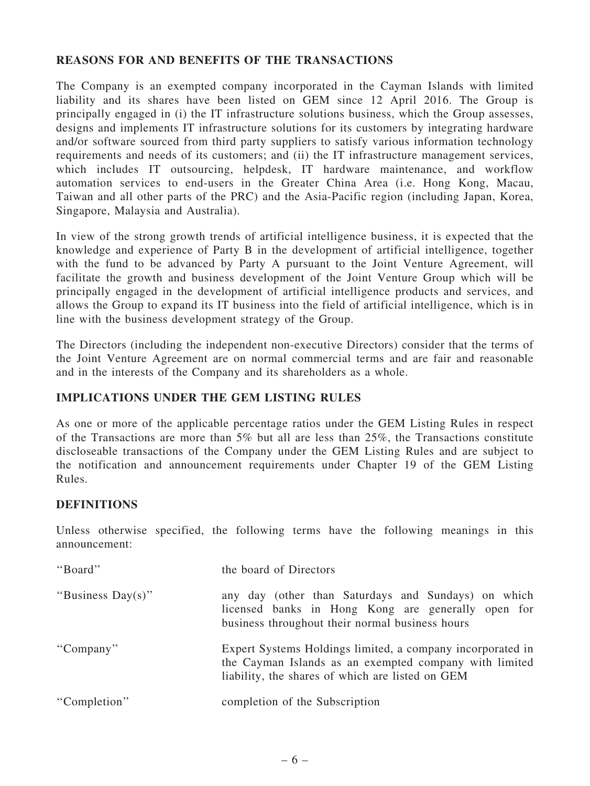## REASONS FOR AND BENEFITS OF THE TRANSACTIONS

The Company is an exempted company incorporated in the Cayman Islands with limited liability and its shares have been listed on GEM since 12 April 2016. The Group is principally engaged in (i) the IT infrastructure solutions business, which the Group assesses, designs and implements IT infrastructure solutions for its customers by integrating hardware and/or software sourced from third party suppliers to satisfy various information technology requirements and needs of its customers; and (ii) the IT infrastructure management services, which includes IT outsourcing, helpdesk, IT hardware maintenance, and workflow automation services to end-users in the Greater China Area (i.e. Hong Kong, Macau, Taiwan and all other parts of the PRC) and the Asia-Pacific region (including Japan, Korea, Singapore, Malaysia and Australia).

In view of the strong growth trends of artificial intelligence business, it is expected that the knowledge and experience of Party B in the development of artificial intelligence, together with the fund to be advanced by Party A pursuant to the Joint Venture Agreement, will facilitate the growth and business development of the Joint Venture Group which will be principally engaged in the development of artificial intelligence products and services, and allows the Group to expand its IT business into the field of artificial intelligence, which is in line with the business development strategy of the Group.

The Directors (including the independent non-executive Directors) consider that the terms of the Joint Venture Agreement are on normal commercial terms and are fair and reasonable and in the interests of the Company and its shareholders as a whole.

## IMPLICATIONS UNDER THE GEM LISTING RULES

As one or more of the applicable percentage ratios under the GEM Listing Rules in respect of the Transactions are more than  $5\%$  but all are less than  $25\%$ , the Transactions constitute discloseable transactions of the Company under the GEM Listing Rules and are subject to the notification and announcement requirements under Chapter 19 of the GEM Listing Rules.

## DEFINITIONS

Unless otherwise specified, the following terms have the following meanings in this announcement:

| "Board"           | the board of Directors                                                                                                                                                   |
|-------------------|--------------------------------------------------------------------------------------------------------------------------------------------------------------------------|
| "Business Day(s)" | any day (other than Saturdays and Sundays) on which<br>licensed banks in Hong Kong are generally open for<br>business throughout their normal business hours             |
| "Company"         | Expert Systems Holdings limited, a company incorporated in<br>the Cayman Islands as an exempted company with limited<br>liability, the shares of which are listed on GEM |
| "Completion"      | completion of the Subscription                                                                                                                                           |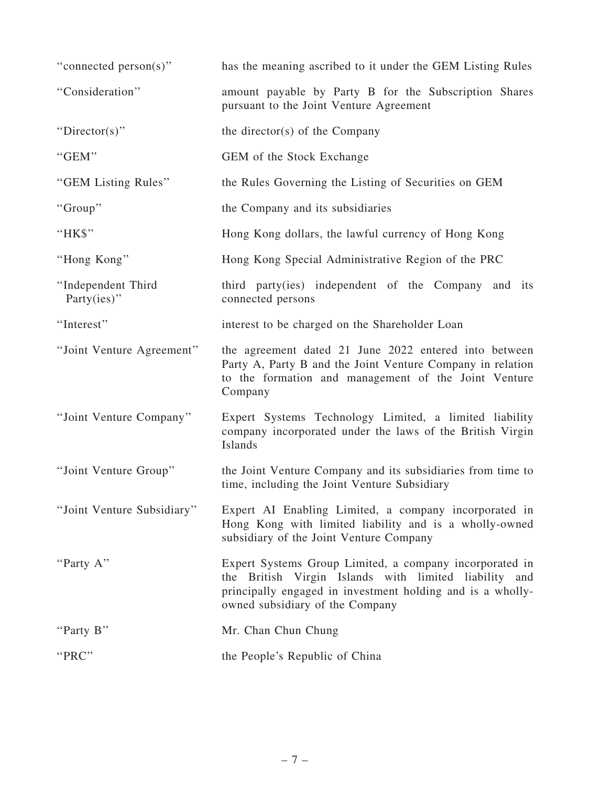| "connected person(s)"                 | has the meaning ascribed to it under the GEM Listing Rules                                                                                                                                                        |
|---------------------------------------|-------------------------------------------------------------------------------------------------------------------------------------------------------------------------------------------------------------------|
| "Consideration"                       | amount payable by Party B for the Subscription Shares<br>pursuant to the Joint Venture Agreement                                                                                                                  |
| "Director(s)"                         | the director(s) of the Company                                                                                                                                                                                    |
| "GEM"                                 | GEM of the Stock Exchange                                                                                                                                                                                         |
| "GEM Listing Rules"                   | the Rules Governing the Listing of Securities on GEM                                                                                                                                                              |
| "Group"                               | the Company and its subsidiaries                                                                                                                                                                                  |
| "HK\$"                                | Hong Kong dollars, the lawful currency of Hong Kong                                                                                                                                                               |
| "Hong Kong"                           | Hong Kong Special Administrative Region of the PRC                                                                                                                                                                |
| "Independent Third<br>Party $(ies)$ " | third party(ies) independent of the Company and its<br>connected persons                                                                                                                                          |
| "Interest"                            | interest to be charged on the Shareholder Loan                                                                                                                                                                    |
| "Joint Venture Agreement"             | the agreement dated 21 June 2022 entered into between<br>Party A, Party B and the Joint Venture Company in relation<br>to the formation and management of the Joint Venture<br>Company                            |
| "Joint Venture Company"               | Expert Systems Technology Limited, a limited liability<br>company incorporated under the laws of the British Virgin<br>Islands                                                                                    |
| "Joint Venture Group"                 | the Joint Venture Company and its subsidiaries from time to<br>time, including the Joint Venture Subsidiary                                                                                                       |
| "Joint Venture Subsidiary"            | Expert AI Enabling Limited, a company incorporated in<br>Hong Kong with limited liability and is a wholly-owned<br>subsidiary of the Joint Venture Company                                                        |
| "Party A"                             | Expert Systems Group Limited, a company incorporated in<br>the British Virgin Islands with limited liability and<br>principally engaged in investment holding and is a wholly-<br>owned subsidiary of the Company |
| "Party B"                             | Mr. Chan Chun Chung                                                                                                                                                                                               |
| "PRC"                                 | the People's Republic of China                                                                                                                                                                                    |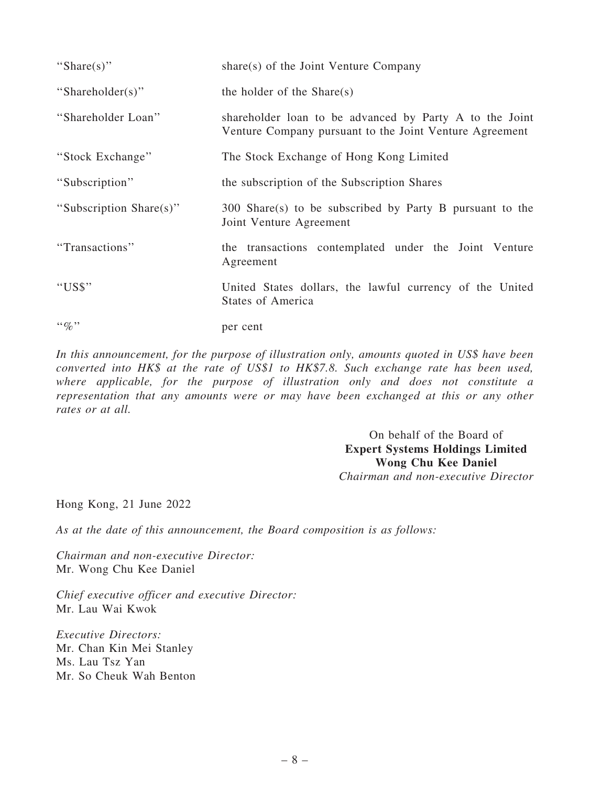| "Share $(s)$ "                | share(s) of the Joint Venture Company                                                                              |
|-------------------------------|--------------------------------------------------------------------------------------------------------------------|
| "Shareholder(s)"              | the holder of the $Share(s)$                                                                                       |
| "Shareholder Loan"            | shareholder loan to be advanced by Party A to the Joint<br>Venture Company pursuant to the Joint Venture Agreement |
| "Stock Exchange"              | The Stock Exchange of Hong Kong Limited                                                                            |
| "Subscription"                | the subscription of the Subscription Shares                                                                        |
| "Subscription Share(s)"       | 300 Share(s) to be subscribed by Party B pursuant to the<br>Joint Venture Agreement                                |
| "Transactions"                | the transactions contemplated under the Joint Venture<br>Agreement                                                 |
| "US\$"                        | United States dollars, the lawful currency of the United<br><b>States of America</b>                               |
| $\cdot \cdot \mathcal{Q}_0$ " | per cent                                                                                                           |

*In this announcement, for the purpose of illustration only, amounts quoted in US\$ have been converted into HK\$ at the rate of US\$1 to HK\$7.8. Such exchange rate has been used, where applicable, for the purpose of illustration only and does not constitute a representation that any amounts were or may have been exchanged at this or any other rates or at all.*

> On behalf of the Board of Expert Systems Holdings Limited Wong Chu Kee Daniel *Chairman and non-executive Director*

Hong Kong, 21 June 2022

*As at the date of this announcement, the Board composition is as follows:*

*Chairman and non-executive Director:* Mr. Wong Chu Kee Daniel

*Chief executive officer and executive Director:* Mr. Lau Wai Kwok

*Executive Directors:* Mr. Chan Kin Mei Stanley Ms. Lau Tsz Yan Mr. So Cheuk Wah Benton